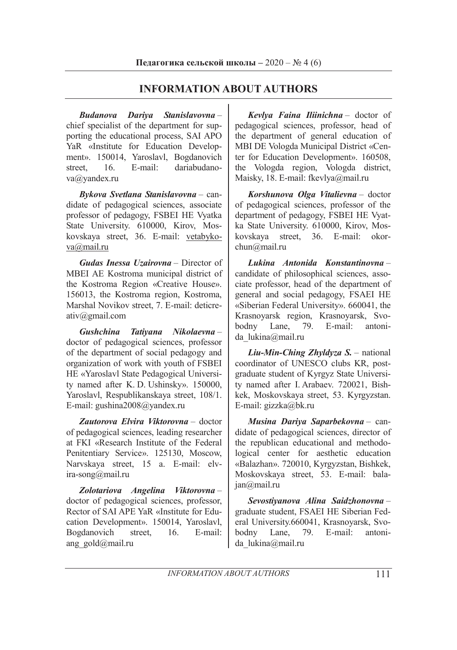## **INFORMATION ABOUT AUTHORS**

*Budanova Dariya Stanislavovna* – chief specialist of the department for supporting the educational process, SAI APO YaR «Institute for Education Development». 150014, Yaroslavl, Bogdanovich street, 16. E-mail: dariabudanova@yandex.ru

*Bykova Svetlana Stanislavovna* – candidate of pedagogical sciences, associate professor of pedagogy, FSBEI HE Vyatka State University. 610000, Kirov, Moskovskaya street, 36. E-mail: vetabykova@mail.ru

*Gudas Inessa Uzairovna* – Director of MBEI AE Kostroma municipal district of the Kostroma Region «Creative House». 156013, the Kostroma region, Kostroma, Marshal Novikov street, 7. E-mail: deticreativ@gmail.com

*Gushchina Tatiyana Nikolaevna* – doctor of pedagogical sciences, professor of the department of social pedagogy and organization of work with youth of FSBEI HE «Yaroslavl State Pedagogical University named after K. D. Ushinsky». 150000, Yaroslavl, Respublikanskaya street, 108/1. E-mail: gushina2008@yandex.ru

*Zautorova Elvira Viktorovna* – doctor of pedagogical sciences, leading researcher at FKI «Research Institute of the Federal Penitentiary Service». 125130, Moscow, Narvskaya street, 15 a. E-mail: elvira-song@mail.ru

*Zolotariova Angelina Viktorovna* – doctor of pedagogical sciences, professor, Rector of SAI APE YaR «Institute for Education Development». 150014, Yaroslavl, Bogdanovich street, 16. E-mail: ang\_gold@mail.ru

*Kevlya Faina Iliinichna* – doctor of pedagogical sciences, professor, head of the department of general education of MBI DE Vologda Municipal District «Center for Education Development». 160508, the Vologda region, Vologda district, Maisky, 18. E-mail: fkevlya@mail.ru

*Korshunova Olga Vitalievna* – doctor of pedagogical sciences, professor of the department of pedagogy, FSBEI HE Vyatka State University. 610000, Kirov, Moskovskaya street, 36. E-mail: okorchun@mail.ru

*Lukina Antonida Konstantinovna* – candidate of philosophical sciences, associate professor, head of the department of general and social pedagogy, FSAEI HE «Siberian Federal University». 660041, the Krasnoyarsk region, Krasnoyarsk, Svobodny Lane, 79. E-mail: antonida\_lukina@mail.ru

*Liu-Min-Ching Zhyldyza S.* – national coordinator of UNESCO clubs KR, postgraduate student of Kyrgyz State University named after I. Arabaev. 720021, Bishkek, Moskovskaya street, 53. Kyrgyzstan. E-mail: gizzka@bk.ru

*Musina Dariya Saparbekovna* – candidate of pedagogical sciences, director of the republican educational and methodological center for aesthetic education «Balazhan». 720010, Kyrgyzstan, Bishkek, Moskovskaya street, 53. E-mail: balajan@mail.ru

*Sevostiyanova Alina Saidzhonovna* – graduate student, FSAEI HE Siberian Federal University.660041, Krasnoyarsk, Svobodny Lane, 79. E-mail: antonida lukina@mail.ru